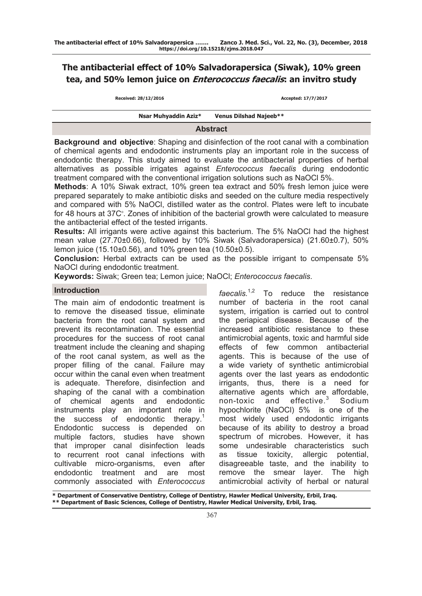# **The antibacterial effect of 10% Salvadorapersica (Siwak), 10% green tea, and 50% lemon juice on Enterococcus faecalis: an invitro study**

|  | Received: 28/12/2016 |  |  |
|--|----------------------|--|--|
|--|----------------------|--|--|

**Received: 28/12/2016 Accepted: 17/7/2017**

#### **Nsar Muhyaddin Aziz\* Venus Dilshad Najeeb\*\***

#### **Abstract**

**Background and objective**: Shaping and disinfection of the root canal with a combination of chemical agents and endodontic instruments play an important role in the success of endodontic therapy. This study aimed to evaluate the antibacterial properties of herbal alternatives as possible irrigates against *Enterococcus faecalis* during endodontic treatment compared with the conventional irrigation solutions such as NaOCl 5%.

**Methods**: A 10% Siwak extract, 10% green tea extract and 50% fresh lemon juice were prepared separately to make antibiotic disks and seeded on the culture media respectively and compared with 5% NaOCl, distilled water as the control. Plates were left to incubate for 48 hours at 37C°. Zones of inhibition of the bacterial growth were calculated to measure the antibacterial effect of the tested irrigants.

**Results:** All irrigants were active against this bacterium. The 5% NaOCl had the highest mean value (27.70±0.66), followed by 10% Siwak (Salvadorapersica) (21.60±0.7), 50% lemon juice (15.10±0.56), and 10% green tea (10.50±0.5).

**Conclusion:** Herbal extracts can be used as the possible irrigant to compensate 5% NaOCl during endodontic treatment.

**Keywords:** Siwak; Green tea; Lemon juice; NaOCl; *Enterococcus faecalis*.

#### **Introduction**

The main aim of endodontic treatment is to remove the diseased tissue, eliminate bacteria from the root canal system and prevent its recontamination. The essential procedures for the success of root canal treatment include the cleaning and shaping of the root canal system, as well as the proper filling of the canal. Failure may occur within the canal even when treatment is adequate. Therefore, disinfection and shaping of the canal with a combination of chemical agents and endodontic instruments play an important role in the success of endodontic therapy.<sup>1</sup> Endodontic success is depended on multiple factors, studies have shown that improper canal disinfection leads to recurrent root canal infections with cultivable micro-organisms, even after endodontic treatment and are most commonly associated with *Enterococcus* 

*faecalis.*1,2 To reduce the resistance number of bacteria in the root canal system, irrigation is carried out to control the periapical disease. Because of the increased antibiotic resistance to these antimicrobial agents, toxic and harmful side effects of few common antibacterial agents. This is because of the use of a wide variety of synthetic antimicrobial agents over the last years as endodontic irrigants, thus, there is a need for alternative agents which are affordable, non-toxic and effective.<sup>3</sup> Sodium hypochlorite (NaOCl) 5% is one of the most widely used endodontic irrigants because of its ability to destroy a broad spectrum of microbes. However, it has some undesirable characteristics such as tissue toxicity, allergic potential, disagreeable taste, and the inability to remove the smear layer. The high antimicrobial activity of herbal or natural

**\* Department of Conservative Dentistry, College of Dentistry, Hawler Medical University, Erbil, Iraq. \*\* Department of Basic Sciences, College of Dentistry, Hawler Medical University, Erbil, Iraq.**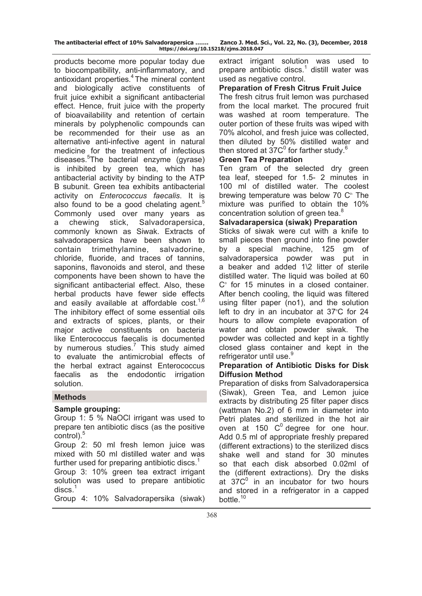| The antibacterial effect of 10% Salvadorapersica | Zanco J. Med. Sci., Vol. 22, No. (3), December, 2018 |  |  |  |  |
|--------------------------------------------------|------------------------------------------------------|--|--|--|--|
| https://doi.org/10.15218/zjms.2018.047           |                                                      |  |  |  |  |

products become more popular today due to biocompatibility, anti-inflammatory, and antioxidant properties.<sup>4</sup> The mineral content and biologically active constituents of fruit juice exhibit a significant antibacterial effect. Hence, fruit juice with the property of bioavailability and retention of certain minerals by polyphenolic compounds can be recommended for their use as an alternative anti-infective agent in natural medicine for the treatment of infectious diseases.<sup>5</sup> The bacterial enzyme (gyrase) is inhibited by green tea, which has antibacterial activity by binding to the ATP B subunit. Green tea exhibits antibacterial activity on *Enterococcus faecalis*. It is also found to be a good chelating agent.<sup>5</sup> Commonly used over many years as a chewing stick, Salvadorapersica, commonly known as Siwak. Extracts of salvadorapersica have been shown to contain trimethylamine, salvadorine, chloride, fluoride, and traces of tannins, saponins, flavonoids and sterol, and these components have been shown to have the significant antibacterial effect. Also, these herbal products have fewer side effects and easily available at affordable  $cost.^{1,6}$ The inhibitory effect of some essential oils and extracts of spices, plants, or their major active constituents on bacteria like Enterococcus faecalis is documented by numerous studies.<sup>7</sup> This study aimed to evaluate the antimicrobial effects of the herbal extract against Enterococcus faecalis as the endodontic irrigation solution.

## **Methods**

#### **Sample grouping:**

Group 1: 5 % NaOCl irrigant was used to prepare ten antibiotic discs (as the positive control).<sup>5</sup>

Group 2: 50 ml fresh lemon juice was mixed with 50 ml distilled water and was further used for preparing antibiotic discs.<sup>1</sup>

Group 3: 10% green tea extract irrigant solution was used to prepare antibiotic  $discs.<sup>1</sup>$ 

Group 4: 10% Salvadorapersika (siwak)

extract irrigant solution was used to prepare antibiotic discs.<sup>1</sup> distill water was used as negative control.

#### **Preparation of Fresh Citrus Fruit Juice**

The fresh citrus fruit lemon was purchased from the local market. The procured fruit was washed at room temperature. The outer portion of these fruits was wiped with 70% alcohol, and fresh juice was collected, then diluted by 50% distilled water and then stored at  $37C<sup>0</sup>$  for farther study.<sup>6</sup>

#### **Green Tea Preparation**

Ten gram of the selected dry green tea leaf, steeped for 1.5- 2 minutes in 100 ml of distilled water. The coolest brewing temperature was below 70  $\mathbb{C}^{\circ}$ . The mixture was purified to obtain the 10% concentration solution of green tea.<sup>8</sup>

## **Salvadarapersica (siwak) Preparation**

Sticks of siwak were cut with a knife to small pieces then ground into fine powder by a special machine, 125 gm of salvadorapersica powder was put in a beaker and added 1\2 litter of sterile distilled water. The liquid was boiled at 60 C° for 15 minutes in a closed container. After bench cooling, the liquid was filtered using filter paper (no1), and the solution left to dry in an incubator at 37°C for 24 hours to allow complete evaporation of water and obtain powder siwak. The powder was collected and kept in a tightly closed glass container and kept in the refrigerator until use.<sup>9</sup>

## **Preparation of Antibiotic Disks for Disk Diffusion Method**

Preparation of disks from Salvadorapersica (Siwak), Green Tea, and Lemon juice extracts by distributing 25 filter paper discs (wattman No.2) of 6 mm in diameter into Petri plates and sterilized in the hot air oven at 150  $C^0$  degree for one hour. Add 0.5 ml of appropriate freshly prepared (different extractions) to the sterilized discs shake well and stand for 30 minutes so that each disk absorbed 0.02ml of the (different extractions). Dry the disks at  $37C<sup>0</sup>$  in an incubator for two hours and stored in a refrigerator in a capped bottle.<sup>10</sup>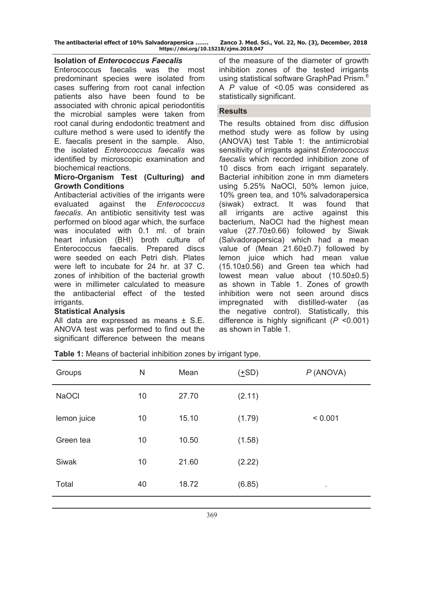**The antibacterial effect of 10% Salvadorapersica ……. Zanco J. Med. Sci., Vol. 22, No. (3), December, 2018 https://doi.org/10.15218/zjms.2018.047**

## **Isolation of** *Enterococcus Faecalis*

Enterococcus faecalis was the most predominant species were isolated from cases suffering from root canal infection patients also have been found to be associated with chronic apical periodontitis the microbial samples were taken from root canal during endodontic treatment and culture method s were used to identify the E. faecalis present in the sample. Also, the isolated *Enterococcus faecalis* was identified by microscopic examination and biochemical reactions.

# **Micro-Organism Test (Culturing) and Growth Conditions**

Antibacterial activities of the irrigants were evaluated against the *Enterococcus faecalis*. An antibiotic sensitivity test was performed on blood agar which, the surface was inoculated with 0.1 ml. of brain heart infusion (BHI) broth culture of Enterococcus faecalis. Prepared discs were seeded on each Petri dish. Plates were left to incubate for 24 hr. at 37 C. zones of inhibition of the bacterial growth were in millimeter calculated to measure the antibacterial effect of the tested irrigants.

## **Statistical Analysis**

All data are expressed as means ± S.E. ANOVA test was performed to find out the significant difference between the means

of the measure of the diameter of growth inhibition zones of the tested irrigants using statistical software GraphPad Prism.<sup>6</sup> A *P* value of <0.05 was considered as statistically significant.

# **Results**

The results obtained from disc diffusion method study were as follow by using (ANOVA) test Table 1: the antimicrobial sensitivity of irrigants against *Enterococcus faecalis* which recorded inhibition zone of 10 discs from each irrigant separately. Bacterial inhibition zone in mm diameters using 5.25% NaOCl, 50% lemon juice, 10% green tea, and 10% salvadorapersica (siwak) extract. It was found that all irrigants are active against this bacterium, NaOCl had the highest mean value (27.70±0.66) followed by Siwak (Salvadorapersica) which had a mean value of (Mean 21.60±0.7) followed by lemon juice which had mean value (15.10±0.56) and Green tea which had lowest mean value about (10.50±0.5) as shown in Table 1. Zones of growth inhibition were not seen around discs impregnated with distilled-water (as the negative control). Statistically, this difference is highly significant (*P* <0.001) as shown in Table 1.

| Groups       | N  | Mean  | $( \pm SD )$ | $P$ (ANOVA) |
|--------------|----|-------|--------------|-------------|
| <b>NaOCI</b> | 10 | 27.70 | (2.11)       |             |
| lemon juice  | 10 | 15.10 | (1.79)       | < 0.001     |
| Green tea    | 10 | 10.50 | (1.58)       |             |
| <b>Siwak</b> | 10 | 21.60 | (2.22)       |             |
| Total        | 40 | 18.72 | (6.85)       | ٠           |

**Table 1:** Means of bacterial inhibition zones by irrigant type.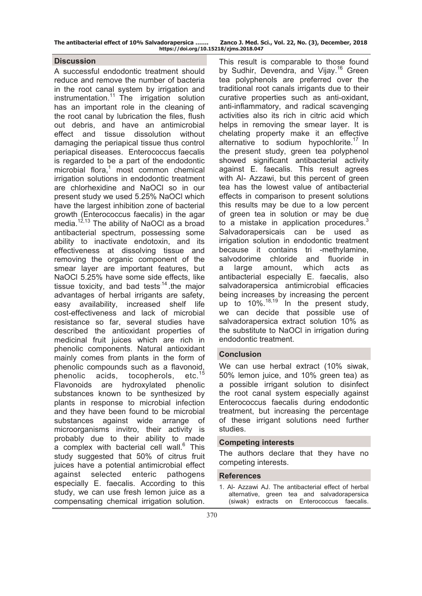| The antibacterial effect of 10% Salvadorapersica | Zanco J. Med. Sci., Vol. 22, No. (3), December, 2018 |  |  |  |  |
|--------------------------------------------------|------------------------------------------------------|--|--|--|--|
| https://doi.org/10.15218/zjms.2018.047           |                                                      |  |  |  |  |

## **Discussion**

A successful endodontic treatment should reduce and remove the number of bacteria in the root canal system by irrigation and  $instrumentation.<sup>11</sup>$  The irrigation solution has an important role in the cleaning of the root canal by lubrication the files, flush out debris, and have an antimicrobial effect and tissue dissolution without damaging the periapical tissue thus control periapical diseases. Enterococcus faecalis is regarded to be a part of the endodontic microbial flora,<sup>1</sup> most common chemical irrigation solutions in endodontic treatment are chlorhexidine and NaOCl so in our present study we used 5.25% NaOCl which have the largest inhibition zone of bacterial growth (Enterococcus faecalis) in the agar media.<sup>12,13</sup> The ability of NaOCI as a broad antibacterial spectrum, possessing some ability to inactivate endotoxin, and its effectiveness at dissolving tissue and removing the organic component of the smear layer are important features, but NaOCl 5.25% have some side effects, like tissue toxicity, and bad tests $14$ .the major advantages of herbal irrigants are safety, easy availability, increased shelf life cost-effectiveness and lack of microbial resistance so far, several studies have described the antioxidant properties of medicinal fruit juices which are rich in phenolic components. Natural antioxidant mainly comes from plants in the form of phenolic compounds such as a flavonoid,<br>phenolic acids, tocopherols, etc.<sup>15</sup> phenolic acids, tocopherols, Flavonoids are hydroxylated phenolic substances known to be synthesized by plants in response to microbial infection and they have been found to be microbial substances against wide arrange of microorganisms invitro, their activity is probably due to their ability to made a complex with bacterial cell wall.<sup>6</sup> This study suggested that 50% of citrus fruit juices have a potential antimicrobial effect against selected enteric pathogens especially E. faecalis. According to this study, we can use fresh lemon juice as a compensating chemical irrigation solution.

This result is comparable to those found by Sudhir, Devendra, and Vijay.<sup>16</sup> Green tea polyphenols are preferred over the traditional root canals irrigants due to their curative properties such as anti-oxidant, anti-inflammatory, and radical scavenging activities also its rich in citric acid which helps in removing the smear layer. It is chelating property make it an effective alternative to sodium hypochlorite.<sup>17</sup> In the present study, green tea polyphenol showed significant antibacterial activity against E. faecalis. This result agrees with Al- Azzawi, but this percent of green tea has the lowest value of antibacterial effects in comparison to present solutions this results may be due to a low percent of green tea in solution or may be due to a mistake in application procedures.<sup>3</sup> Salvadorapersicais can be used as irrigation solution in endodontic treatment because it contains tri -methylamine, salvodorime chloride and fluoride in a large amount, which acts as antibacterial especially E. faecalis, also salvadorapersica antimicrobial efficacies being increases by increasing the percent up to  $10\%$ .<sup>18,19</sup> In the present study, we can decide that possible use of salvadorapersica extract solution 10% as the substitute to NaOCl in irrigation during endodontic treatment.

## **Conclusion**

We can use herbal extract (10% siwak, 50% lemon juice, and 10% green tea) as a possible irrigant solution to disinfect the root canal system especially against Enterococcus faecalis during endodontic treatment, but increasing the percentage of these irrigant solutions need further studies.

#### **Competing interests**

The authors declare that they have no competing interests.

## **References**

1. Al- Azzawi AJ. The antibacterial effect of herbal alternative, green tea and salvadorapersica (siwak) extracts on Enterococcus faecalis.